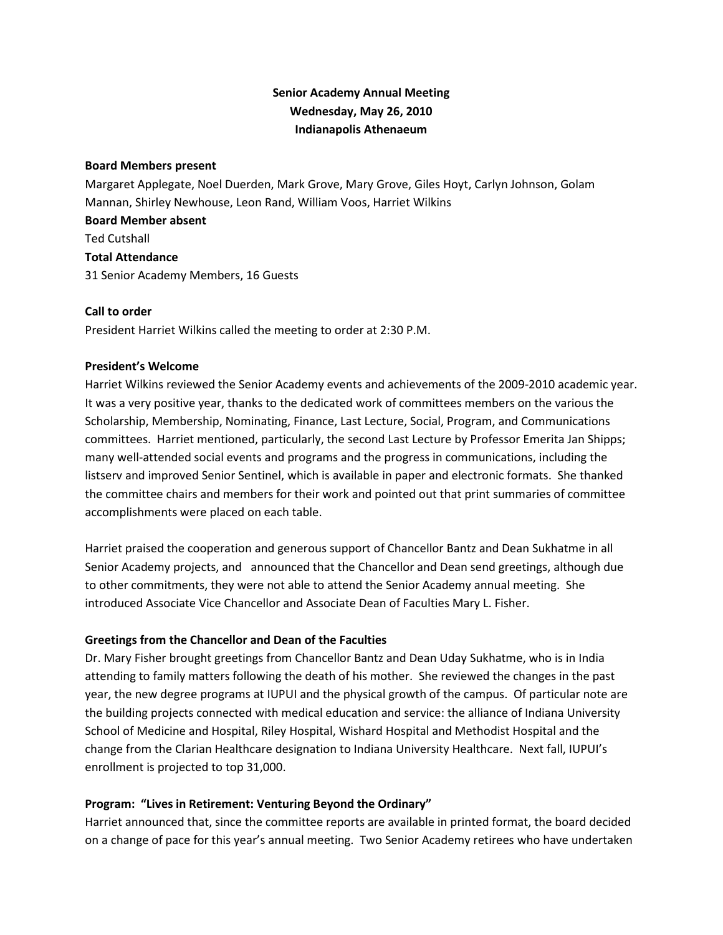# **Senior Academy Annual Meeting Wednesday, May 26, 2010 Indianapolis Athenaeum**

#### **Board Members present**

Margaret Applegate, Noel Duerden, Mark Grove, Mary Grove, Giles Hoyt, Carlyn Johnson, Golam Mannan, Shirley Newhouse, Leon Rand, William Voos, Harriet Wilkins

**Board Member absent** Ted Cutshall **Total Attendance** 31 Senior Academy Members, 16 Guests

## **Call to order**

President Harriet Wilkins called the meeting to order at 2:30 P.M.

## **President's Welcome**

Harriet Wilkins reviewed the Senior Academy events and achievements of the 2009-2010 academic year. It was a very positive year, thanks to the dedicated work of committees members on the various the Scholarship, Membership, Nominating, Finance, Last Lecture, Social, Program, and Communications committees. Harriet mentioned, particularly, the second Last Lecture by Professor Emerita Jan Shipps; many well-attended social events and programs and the progress in communications, including the listserv and improved Senior Sentinel, which is available in paper and electronic formats. She thanked the committee chairs and members for their work and pointed out that print summaries of committee accomplishments were placed on each table.

Harriet praised the cooperation and generous support of Chancellor Bantz and Dean Sukhatme in all Senior Academy projects, and announced that the Chancellor and Dean send greetings, although due to other commitments, they were not able to attend the Senior Academy annual meeting. She introduced Associate Vice Chancellor and Associate Dean of Faculties Mary L. Fisher.

## **Greetings from the Chancellor and Dean of the Faculties**

Dr. Mary Fisher brought greetings from Chancellor Bantz and Dean Uday Sukhatme, who is in India attending to family matters following the death of his mother. She reviewed the changes in the past year, the new degree programs at IUPUI and the physical growth of the campus. Of particular note are the building projects connected with medical education and service: the alliance of Indiana University School of Medicine and Hospital, Riley Hospital, Wishard Hospital and Methodist Hospital and the change from the Clarian Healthcare designation to Indiana University Healthcare. Next fall, IUPUI's enrollment is projected to top 31,000.

## **Program: "Lives in Retirement: Venturing Beyond the Ordinary"**

Harriet announced that, since the committee reports are available in printed format, the board decided on a change of pace for this year's annual meeting. Two Senior Academy retirees who have undertaken